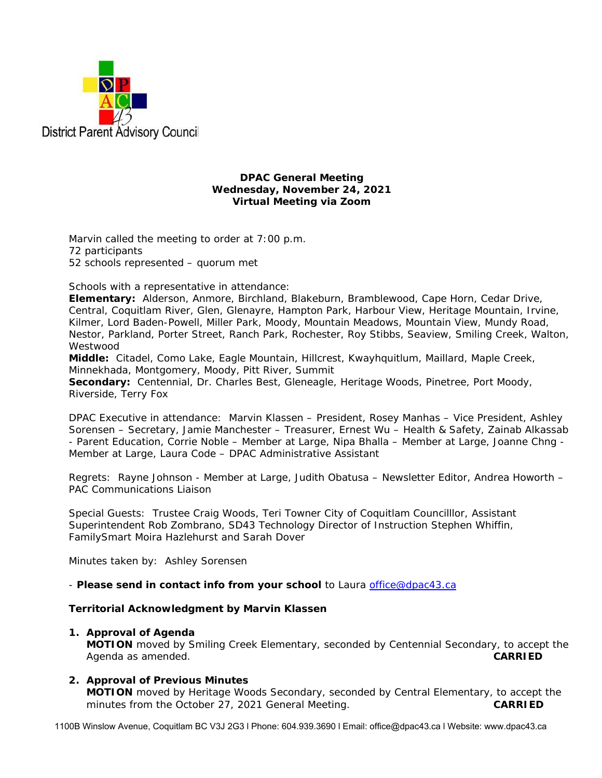

### **DPAC General Meeting Wednesday, November 24, 2021 Virtual Meeting via Zoom**

Marvin called the meeting to order at 7:00 p.m. 72 participants 52 schools represented – quorum met

Schools with a representative in attendance:

**Elementary:** Alderson, Anmore, Birchland, Blakeburn, Bramblewood, Cape Horn, Cedar Drive, Central, Coquitlam River, Glen, Glenayre, Hampton Park, Harbour View, Heritage Mountain, Irvine, Kilmer, Lord Baden-Powell, Miller Park, Moody, Mountain Meadows, Mountain View, Mundy Road, Nestor, Parkland, Porter Street, Ranch Park, Rochester, Roy Stibbs, Seaview, Smiling Creek, Walton, Westwood

**Middle:** Citadel, Como Lake, Eagle Mountain, Hillcrest, Kwayhquitlum, Maillard, Maple Creek, Minnekhada, Montgomery, Moody, Pitt River, Summit

**Secondary:** Centennial, Dr. Charles Best, Gleneagle, Heritage Woods, Pinetree, Port Moody, Riverside, Terry Fox

DPAC Executive in attendance: Marvin Klassen – President, Rosey Manhas – Vice President, Ashley Sorensen – Secretary, Jamie Manchester – Treasurer, Ernest Wu – Health & Safety, Zainab Alkassab - Parent Education, Corrie Noble – Member at Large, Nipa Bhalla – Member at Large, Joanne Chng - Member at Large, Laura Code – DPAC Administrative Assistant

Regrets: Rayne Johnson - Member at Large, Judith Obatusa – Newsletter Editor, Andrea Howorth – PAC Communications Liaison

Special Guests: Trustee Craig Woods, Teri Towner City of Coquitlam Councilllor, Assistant Superintendent Rob Zombrano, SD43 Technology Director of Instruction Stephen Whiffin, FamilySmart Moira Hazlehurst and Sarah Dover

Minutes taken by: Ashley Sorensen

- *Please send in contact info from your school* to Laura office@dpac43.ca

## **Territorial Acknowledgment by Marvin Klassen**

**1. Approval of Agenda** 

**MOTION** moved by *Smiling Creek Elementary*, seconded by *Centennial Secondary,* to accept the Agenda as amended. **CARRIED** 

## **2. Approval of Previous Minutes**

**MOTION** moved by *Heritage Woods Secondary*, seconded by *Central Elementary*, to accept the minutes from the October 27, 2021 General Meeting. **CARRIED** 

1100B Winslow Avenue, Coquitlam BC V3J 2G3 l Phone: 604.939.3690 l Email: office@dpac43.ca l Website: www.dpac43.ca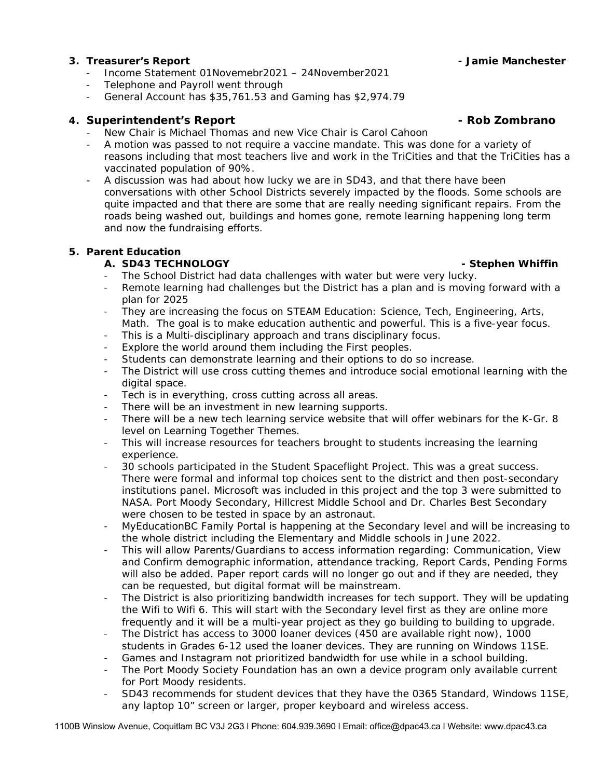# **3. Treasurer's Report - Jamie Manchester**

- <sup>−</sup> Income Statement 01Novemebr2021 24November2021
- <sup>−</sup> Telephone and Payroll went through
- <sup>−</sup> General Account has \$35,761.53 and Gaming has \$2,974.79

## **4. Superintendent's Report - Rob Zombrano**

- New Chair is Michael Thomas and new Vice Chair is Carol Cahoon
- A motion was passed to not require a vaccine mandate. This was done for a variety of reasons including that most teachers live and work in the TriCities and that the TriCities has a vaccinated population of 90%.
- A discussion was had about how lucky we are in SD43, and that there have been conversations with other School Districts severely impacted by the floods. Some schools are quite impacted and that there are some that are really needing significant repairs. From the roads being washed out, buildings and homes gone, remote learning happening long term and now the fundraising efforts.

## **5. Parent Education**

# A. SD43 TECHNOLOGY **- Stephen Whiffin**

- The School District had data challenges with water but were very lucky.
- Remote learning had challenges but the District has a plan and is moving forward with a plan for 2025
- They are increasing the focus on STEAM Education: Science, Tech, Engineering, Arts, Math. The goal is to make education authentic and powerful. This is a five-year focus.
- This is a Multi-disciplinary approach and trans disciplinary focus.
- Explore the world around them including the First peoples.
- Students can demonstrate learning and their options to do so increase.
- The District will use cross cutting themes and introduce social emotional learning with the digital space.
- Tech is in everything, cross cutting across all areas.
- There will be an investment in new learning supports.
- <sup>−</sup> There will be a new tech learning service website that will offer webinars for the K-Gr. 8 level on Learning Together Themes.
- This will increase resources for teachers brought to students increasing the learning experience.
- 30 schools participated in the Student Spaceflight Project. This was a great success. There were formal and informal top choices sent to the district and then post-secondary institutions panel. Microsoft was included in this project and the top 3 were submitted to NASA. Port Moody Secondary, Hillcrest Middle School and Dr. Charles Best Secondary were chosen to be tested in space by an astronaut.
- <sup>−</sup> MyEducationBC Family Portal is happening at the Secondary level and will be increasing to the whole district including the Elementary and Middle schools in June 2022.
- <sup>−</sup> This will allow Parents/Guardians to access information regarding: Communication, View and Confirm demographic information, attendance tracking, Report Cards, Pending Forms will also be added. Paper report cards will no longer go out and if they are needed, they can be requested, but digital format will be mainstream.
- <sup>−</sup> The District is also prioritizing bandwidth increases for tech support. They will be updating the Wifi to Wifi 6. This will start with the Secondary level first as they are online more frequently and it will be a multi-year project as they go building to building to upgrade.
- The District has access to 3000 loaner devices (450 are available right now), 1000 students in Grades 6-12 used the loaner devices. They are running on Windows 11SE.
- Games and Instagram not prioritized bandwidth for use while in a school building.
- The Port Moody Society Foundation has an own a device program only available current for Port Moody residents.
- <sup>−</sup> SD43 recommends for student devices that they have the 0365 Standard, Windows 11SE, any laptop 10" screen or larger, proper keyboard and wireless access.

1100B Winslow Avenue, Coquitlam BC V3J 2G3 l Phone: 604.939.3690 l Email: office@dpac43.ca l Website: www.dpac43.ca